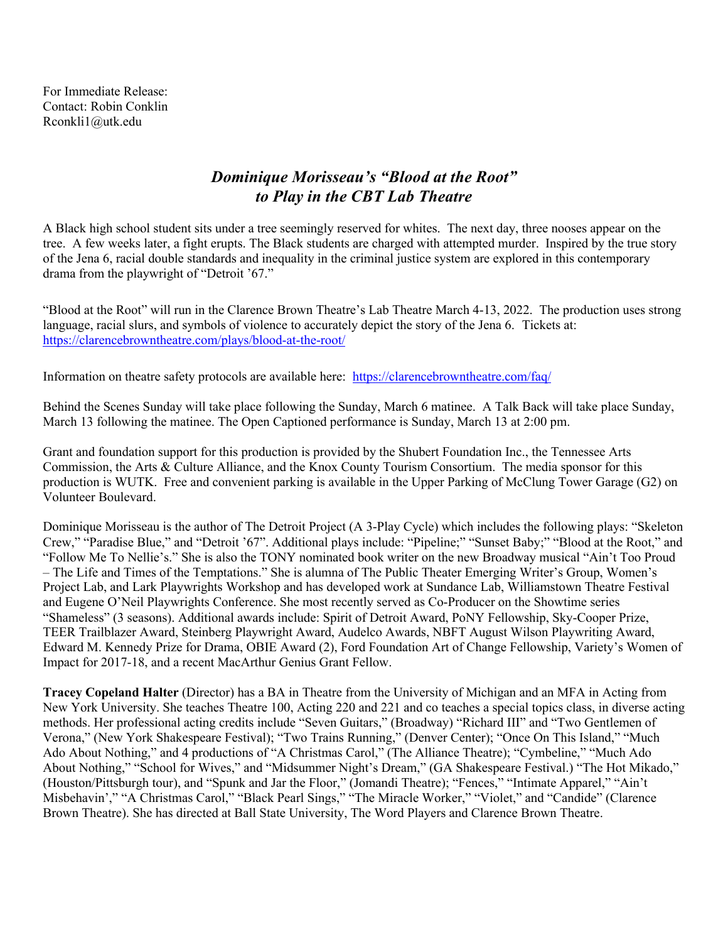For Immediate Release: Contact: Robin Conklin Rconkli1@utk.edu

## *Dominique Morisseau's "Blood at the Root" to Play in the CBT Lab Theatre*

A Black high school student sits under a tree seemingly reserved for whites. The next day, three nooses appear on the tree. A few weeks later, a fight erupts. The Black students are charged with attempted murder. Inspired by the true story of the Jena 6, racial double standards and inequality in the criminal justice system are explored in this contemporary drama from the playwright of "Detroit '67."

"Blood at the Root" will run in the Clarence Brown Theatre's Lab Theatre March 4-13, 2022. The production uses strong language, racial slurs, and symbols of violence to accurately depict the story of the Jena 6. Tickets at: https://clarencebrowntheatre.com/plays/blood-at-the-root/

Information on theatre safety protocols are available here: https://clarencebrowntheatre.com/faq/

Behind the Scenes Sunday will take place following the Sunday, March 6 matinee. A Talk Back will take place Sunday, March 13 following the matinee. The Open Captioned performance is Sunday, March 13 at 2:00 pm.

Grant and foundation support for this production is provided by the Shubert Foundation Inc., the Tennessee Arts Commission, the Arts & Culture Alliance, and the Knox County Tourism Consortium. The media sponsor for this production is WUTK. Free and convenient parking is available in the Upper Parking of McClung Tower Garage (G2) on Volunteer Boulevard.

Dominique Morisseau is the author of The Detroit Project (A 3-Play Cycle) which includes the following plays: "Skeleton Crew," "Paradise Blue," and "Detroit '67". Additional plays include: "Pipeline;" "Sunset Baby;" "Blood at the Root," and "Follow Me To Nellie's." She is also the TONY nominated book writer on the new Broadway musical "Ain't Too Proud – The Life and Times of the Temptations." She is alumna of The Public Theater Emerging Writer's Group, Women's Project Lab, and Lark Playwrights Workshop and has developed work at Sundance Lab, Williamstown Theatre Festival and Eugene O'Neil Playwrights Conference. She most recently served as Co-Producer on the Showtime series "Shameless" (3 seasons). Additional awards include: Spirit of Detroit Award, PoNY Fellowship, Sky-Cooper Prize, TEER Trailblazer Award, Steinberg Playwright Award, Audelco Awards, NBFT August Wilson Playwriting Award, Edward M. Kennedy Prize for Drama, OBIE Award (2), Ford Foundation Art of Change Fellowship, Variety's Women of Impact for 2017-18, and a recent MacArthur Genius Grant Fellow.

**Tracey Copeland Halter** (Director) has a BA in Theatre from the University of Michigan and an MFA in Acting from New York University. She teaches Theatre 100, Acting 220 and 221 and co teaches a special topics class, in diverse acting methods. Her professional acting credits include "Seven Guitars," (Broadway) "Richard III" and "Two Gentlemen of Verona," (New York Shakespeare Festival); "Two Trains Running," (Denver Center); "Once On This Island," "Much Ado About Nothing," and 4 productions of "A Christmas Carol," (The Alliance Theatre); "Cymbeline," "Much Ado About Nothing," "School for Wives," and "Midsummer Night's Dream," (GA Shakespeare Festival.) "The Hot Mikado," (Houston/Pittsburgh tour), and "Spunk and Jar the Floor," (Jomandi Theatre); "Fences," "Intimate Apparel," "Ain't Misbehavin'," "A Christmas Carol," "Black Pearl Sings," "The Miracle Worker," "Violet," and "Candide" (Clarence Brown Theatre). She has directed at Ball State University, The Word Players and Clarence Brown Theatre.